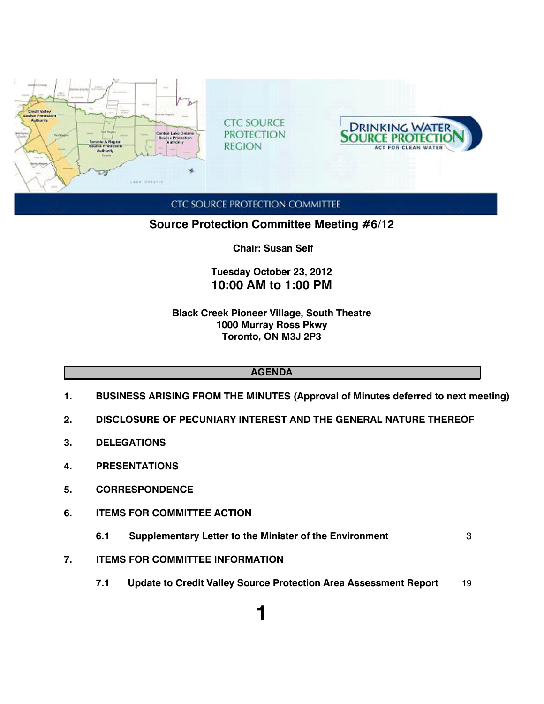

**CTC SOURCE PROTECTION COMMITTEE** 

**Source Protection Committee Meeting #6/12**

 **Chair: Susan Self**

## **Tuesday October 23, 2012 10:00 AM to 1:00 PM**

**Black Creek Pioneer Village, South Theatre 1000 Murray Ross Pkwy Toronto, ON M3J 2P3**

## **AGENDA**

- **1. BUSINESS ARISING FROM THE MINUTES (Approval of Minutes deferred to next meeting)**
- **2. DISCLOSURE OF PECUNIARY INTEREST AND THE GENERAL NATURE THEREOF**
- **3. DELEGATIONS**
- **4. PRESENTATIONS**
- **5. CORRESPONDENCE**
- **6. ITEMS FOR COMMITTEE ACTION**
	- **6.1 Supplementary Letter to the Minister of the Environment** 3
- **7. ITEMS FOR COMMITTEE INFORMATION**
	- **7.1 Update to Credit Valley Source Protection Area Assessment Report** 19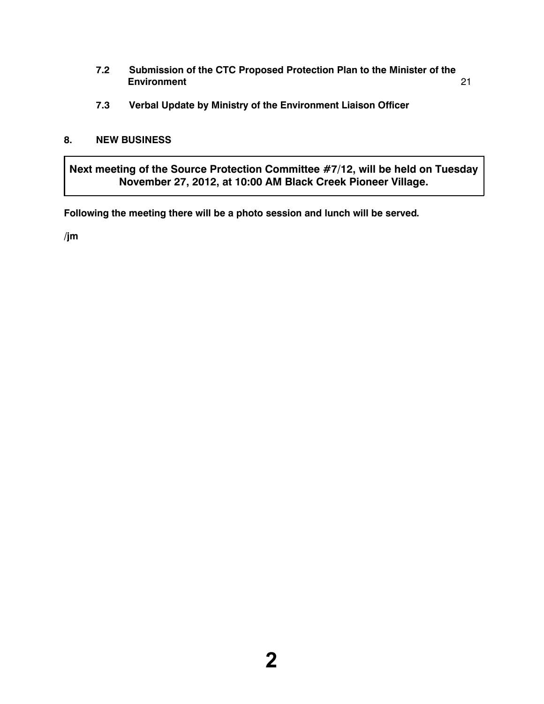- **7.2 Submission of the CTC Proposed Protection Plan to the Minister of the Environment** 21
- **7.3 Verbal Update by Ministry of the Environment Liaison Officer**

## **8. NEW BUSINESS**

**Next meeting of the Source Protection Committee #7/12, will be held on Tuesday November 27, 2012, at 10:00 AM Black Creek Pioneer Village.**

**Following the meeting there will be a photo session and lunch will be served.**

**/jm**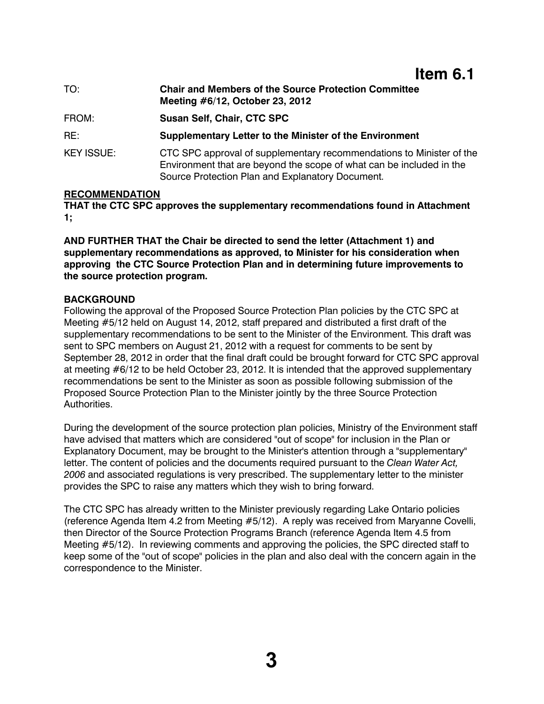## **Item 6.1**

| TO:               | <b>Chair and Members of the Source Protection Committee</b><br>Meeting #6/12, October 23, 2012                                                                                                   |
|-------------------|--------------------------------------------------------------------------------------------------------------------------------------------------------------------------------------------------|
| FROM:             | <b>Susan Self, Chair, CTC SPC</b>                                                                                                                                                                |
| RE:               | <b>Supplementary Letter to the Minister of the Environment</b>                                                                                                                                   |
| <b>KEY ISSUE:</b> | CTC SPC approval of supplementary recommendations to Minister of the<br>Environment that are beyond the scope of what can be included in the<br>Source Protection Plan and Explanatory Document. |

## **RECOMMENDATION**

**THAT the CTC SPC approves the supplementary recommendations found in Attachment 1;**

**AND FURTHER THAT the Chair be directed to send the letter (Attachment 1) and supplementary recommendations as approved, to Minister for his consideration when approving the CTC Source Protection Plan and in determining future improvements to the source protection program.** 

## **BACKGROUND**

Following the approval of the Proposed Source Protection Plan policies by the CTC SPC at Meeting #5/12 held on August 14, 2012, staff prepared and distributed a first draft of the supplementary recommendations to be sent to the Minister of the Environment. This draft was sent to SPC members on August 21, 2012 with a request for comments to be sent by September 28, 2012 in order that the final draft could be brought forward for CTC SPC approval at meeting #6/12 to be held October 23, 2012. It is intended that the approved supplementary recommendations be sent to the Minister as soon as possible following submission of the Proposed Source Protection Plan to the Minister jointly by the three Source Protection Authorities.

During the development of the source protection plan policies, Ministry of the Environment staff have advised that matters which are considered "out of scope" for inclusion in the Plan or Explanatory Document, may be brought to the Minister's attention through a "supplementary" letter. The content of policies and the documents required pursuant to the *Clean Water Act, 2006* and associated regulations is very prescribed. The supplementary letter to the minister provides the SPC to raise any matters which they wish to bring forward.

The CTC SPC has already written to the Minister previously regarding Lake Ontario policies (reference Agenda Item 4.2 from Meeting #5/12). A reply was received from Maryanne Covelli, then Director of the Source Protection Programs Branch (reference Agenda Item 4.5 from Meeting #5/12). In reviewing comments and approving the policies, the SPC directed staff to keep some of the "out of scope" policies in the plan and also deal with the concern again in the correspondence to the Minister.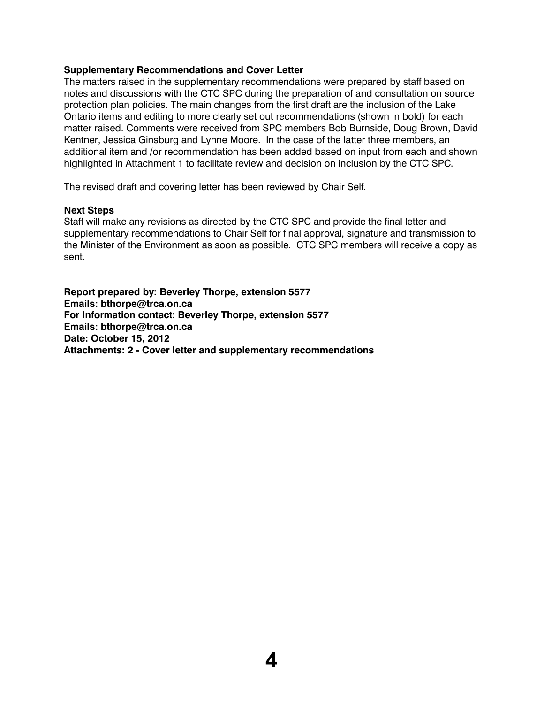#### **Supplementary Recommendations and Cover Letter**

The matters raised in the supplementary recommendations were prepared by staff based on notes and discussions with the CTC SPC during the preparation of and consultation on source protection plan policies. The main changes from the first draft are the inclusion of the Lake Ontario items and editing to more clearly set out recommendations (shown in bold) for each matter raised. Comments were received from SPC members Bob Burnside, Doug Brown, David Kentner, Jessica Ginsburg and Lynne Moore. In the case of the latter three members, an additional item and /or recommendation has been added based on input from each and shown highlighted in Attachment 1 to facilitate review and decision on inclusion by the CTC SPC.

The revised draft and covering letter has been reviewed by Chair Self.

#### **Next Steps**

Staff will make any revisions as directed by the CTC SPC and provide the final letter and supplementary recommendations to Chair Self for final approval, signature and transmission to the Minister of the Environment as soon as possible. CTC SPC members will receive a copy as sent.

**Report prepared by: Beverley Thorpe, extension 5577 Emails: bthorpe@trca.on.ca For Information contact: Beverley Thorpe, extension 5577 Emails: bthorpe@trca.on.ca Date: October 15, 2012 Attachments: 2 - Cover letter and supplementary recommendations**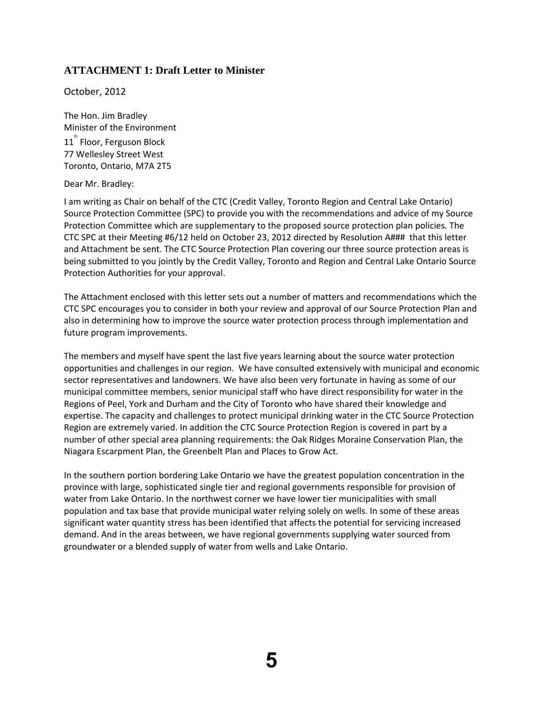## **ATTACHMENT 1: Draft Letter to Minister**

October, 2012

The Hon. Jim Bradley Minister of the Environment  $11^{^{th}}$  Floor, Ferguson Block 77 Wellesley Street West Toronto, Ontario, M7A 2T5

Dear Mr. Bradley:

I am writing as Chair on behalf of the CTC (Credit Valley, Toronto Region and Central Lake Ontario) Source Protection Committee (SPC) to provide you with the recommendations and advice of my Source Protection Committee which are supplementary to the proposed source protection plan policies. The CTC SPC at their Meeting #6/12 held on October 23, 2012 directed by Resolution A### that this letter and Attachment be sent. The CTC Source Protection Plan covering our three source protection areas is being submitted to you jointly by the Credit Valley, Toronto and Region and Central Lake Ontario Source Protection Authorities for your approval.

The Attachment enclosed with this letter sets out a number of matters and recommendations which the CTC SPC encourages you to consider in both your review and approval of our Source Protection Plan and also in determining how to improve the source water protection process through implementation and future program improvements.

The members and myself have spent the last five years learning about the source water protection opportunities and challenges in our region. We have consulted extensively with municipal and economic sector representatives and landowners. We have also been very fortunate in having as some of our municipal committee members, senior municipal staff who have direct responsibility for water in the Regions of Peel, York and Durham and the City of Toronto who have shared their knowledge and expertise. The capacity and challenges to protect municipal drinking water in the CTC Source Protection Region are extremely varied. In addition the CTC Source Protection Region is covered in part by a number of other special area planning requirements: the Oak Ridges Moraine Conservation Plan, the Niagara Escarpment Plan, the Greenbelt Plan and Places to Grow Act.

In the southern portion bordering Lake Ontario we have the greatest population concentration in the province with large, sophisticated single tier and regional governments responsible for provision of water from Lake Ontario. In the northwest corner we have lower tier municipalities with small population and tax base that provide municipal water relying solely on wells. In some of these areas significant water quantity stress has been identified that affects the potential for servicing increased demand. And in the areas between, we have regional governments supplying water sourced from groundwater or a blended supply of water from wells and Lake Ontario.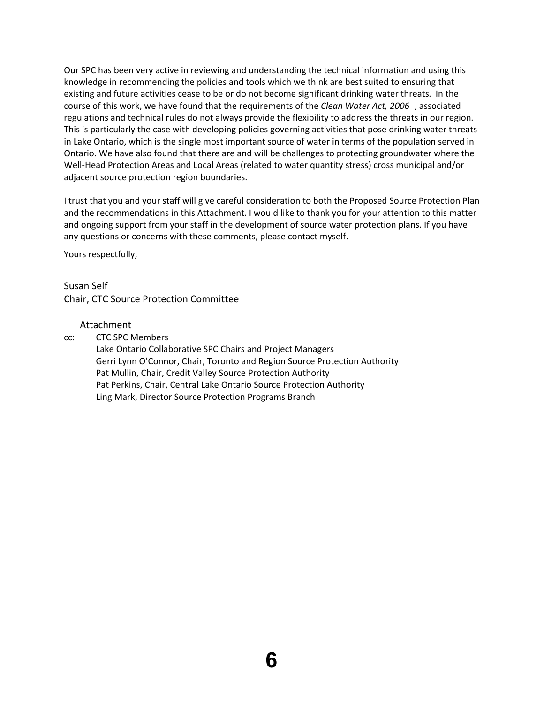Our SPC has been very active in reviewing and understanding the technical information and using this knowledge in recommending the policies and tools which we think are best suited to ensuring that existing and future activities cease to be or do not become significant drinking water threats. In the course of this work, we have found that the requirements of the *Clean Water Act, 2006* , associated regulations and technical rules do not always provide the flexibility to address the threats in our region. This is particularly the case with developing policies governing activities that pose drinking water threats in Lake Ontario, which is the single most important source of water in terms of the population served in Ontario. We have also found that there are and will be challenges to protecting groundwater where the Well-Head Protection Areas and Local Areas (related to water quantity stress) cross municipal and/or adjacent source protection region boundaries.

I trust that you and your staff will give careful consideration to both the Proposed Source Protection Plan and the recommendations in this Attachment. I would like to thank you for your attention to this matter and ongoing support from your staff in the development of source water protection plans. If you have any questions or concerns with these comments, please contact myself.

Yours respectfully,

Susan Self Chair, CTC Source Protection Committee

#### Attachment

cc: CTC SPC Members

Lake Ontario Collaborative SPC Chairs and Project Managers Gerri Lynn O'Connor, Chair, Toronto and Region Source Protection Authority Pat Mullin, Chair, Credit Valley Source Protection Authority Pat Perkins, Chair, Central Lake Ontario Source Protection Authority Ling Mark, Director Source Protection Programs Branch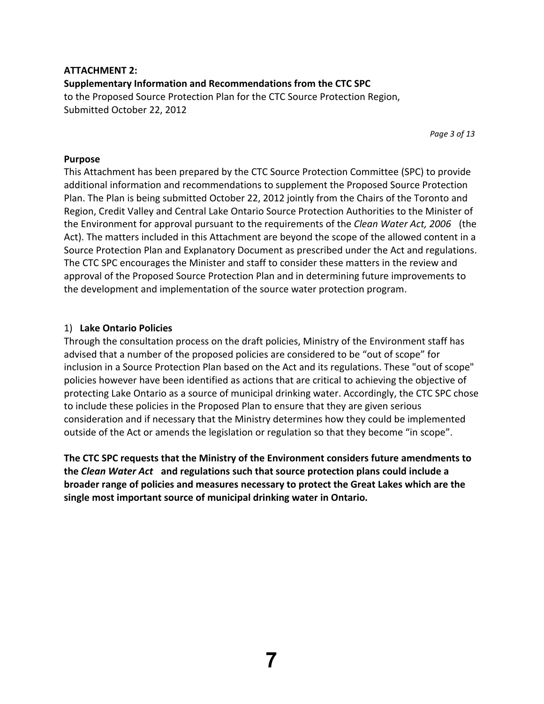## **ATTACHMENT 2: Supplementary Information and Recommendations from the CTC SPC** to the Proposed Source Protection Plan for the CTC Source Protection Region, Submitted October 22, 2012

*Page 3 of 13*

## **Purpose**

This Attachment has been prepared by the CTC Source Protection Committee (SPC) to provide additional information and recommendations to supplement the Proposed Source Protection Plan. The Plan is being submitted October 22, 2012 jointly from the Chairs of the Toronto and Region, Credit Valley and Central Lake Ontario Source Protection Authorities to the Minister of the Environment for approval pursuant to the requirements of the *Clean Water Act, 2006* (the Act). The matters included in this Attachment are beyond the scope of the allowed content in a Source Protection Plan and Explanatory Document as prescribed under the Act and regulations. The CTC SPC encourages the Minister and staff to consider these matters in the review and approval of the Proposed Source Protection Plan and in determining future improvements to the development and implementation of the source water protection program.

## 1) **Lake Ontario Policies**

Through the consultation process on the draft policies, Ministry of the Environment staff has advised that a number of the proposed policies are considered to be "out of scope" for inclusion in a Source Protection Plan based on the Act and its regulations. These "out of scope" policies however have been identified as actions that are critical to achieving the objective of protecting Lake Ontario as a source of municipal drinking water. Accordingly, the CTC SPC chose to include these policies in the Proposed Plan to ensure that they are given serious consideration and if necessary that the Ministry determines how they could be implemented outside of the Act or amends the legislation or regulation so that they become "in scope".

**The CTC SPC requests that the Ministry of the Environment considers future amendments to the** *Clean Water Act* **and regulations such that source protection plans could include a broader range of policies and measures necessary to protect the Great Lakes which are the single most important source of municipal drinking water in Ontario.**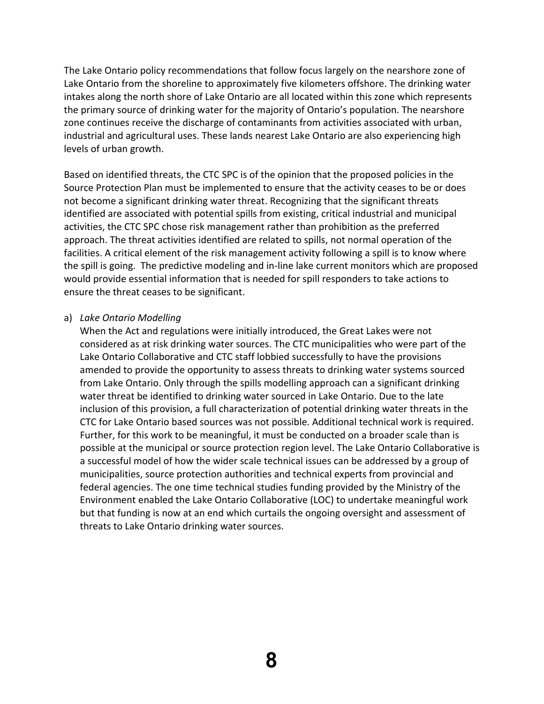The Lake Ontario policy recommendations that follow focus largely on the nearshore zone of Lake Ontario from the shoreline to approximately five kilometers offshore. The drinking water intakes along the north shore of Lake Ontario are all located within this zone which represents the primary source of drinking water for the majority of Ontario's population. The nearshore zone continues receive the discharge of contaminants from activities associated with urban, industrial and agricultural uses. These lands nearest Lake Ontario are also experiencing high levels of urban growth.

Based on identified threats, the CTC SPC is of the opinion that the proposed policies in the Source Protection Plan must be implemented to ensure that the activity ceases to be or does not become a significant drinking water threat. Recognizing that the significant threats identified are associated with potential spills from existing, critical industrial and municipal activities, the CTC SPC chose risk management rather than prohibition as the preferred approach. The threat activities identified are related to spills, not normal operation of the facilities. A critical element of the risk management activity following a spill is to know where the spill is going. The predictive modeling and in‐line lake current monitors which are proposed would provide essential information that is needed for spill responders to take actions to ensure the threat ceases to be significant.

#### a) *Lake Ontario Modelling*

When the Act and regulations were initially introduced, the Great Lakes were not considered as at risk drinking water sources. The CTC municipalities who were part of the Lake Ontario Collaborative and CTC staff lobbied successfully to have the provisions amended to provide the opportunity to assess threats to drinking water systems sourced from Lake Ontario. Only through the spills modelling approach can a significant drinking water threat be identified to drinking water sourced in Lake Ontario. Due to the late inclusion of this provision, a full characterization of potential drinking water threats in the CTC for Lake Ontario based sources was not possible. Additional technical work is required. Further, for this work to be meaningful, it must be conducted on a broader scale than is possible at the municipal or source protection region level. The Lake Ontario Collaborative is a successful model of how the wider scale technical issues can be addressed by a group of municipalities, source protection authorities and technical experts from provincial and federal agencies. The one time technical studies funding provided by the Ministry of the Environment enabled the Lake Ontario Collaborative (LOC) to undertake meaningful work but that funding is now at an end which curtails the ongoing oversight and assessment of threats to Lake Ontario drinking water sources.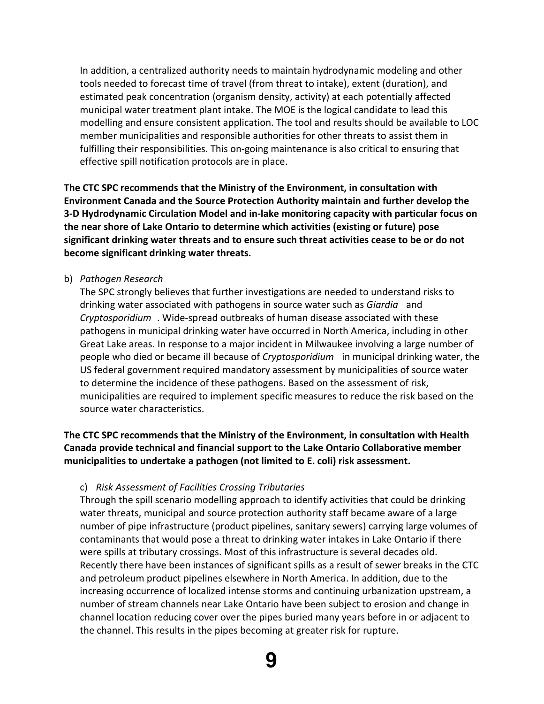In addition, a centralized authority needs to maintain hydrodynamic modeling and other tools needed to forecast time of travel (from threat to intake), extent (duration), and estimated peak concentration (organism density, activity) at each potentially affected municipal water treatment plant intake. The MOE is the logical candidate to lead this modelling and ensure consistent application. The tool and results should be available to LOC member municipalities and responsible authorities for other threats to assist them in fulfilling their responsibilities. This on‐going maintenance is also critical to ensuring that effective spill notification protocols are in place.

**The CTC SPC recommends that the Ministry of the Environment, in consultation with Environment Canada and the Source Protection Authority maintain and further develop the 3‐D Hydrodynamic Circulation Model and in‐lake monitoring capacity with particular focus on the near shore of Lake Ontario to determine which activities (existing or future) pose significant drinking water threats and to ensure such threat activities cease to be or do not become significant drinking water threats.**

## b) *Pathogen Research*

The SPC strongly believes that further investigations are needed to understand risks to drinking water associated with pathogens in source water such as *Giardia* and *Cryptosporidium* . Wide‐spread outbreaks of human disease associated with these pathogens in municipal drinking water have occurred in North America, including in other Great Lake areas. In response to a major incident in Milwaukee involving a large number of people who died or became ill because of *Cryptosporidium* in municipal drinking water, the US federal government required mandatory assessment by municipalities of source water to determine the incidence of these pathogens. Based on the assessment of risk, municipalities are required to implement specific measures to reduce the risk based on the source water characteristics.

## **The CTC SPC recommends that the Ministry of the Environment, in consultation with Health Canada provide technical and financial support to the Lake Ontario Collaborative member municipalities to undertake a pathogen (not limited to E. coli) risk assessment.**

#### c) *Risk Assessment of Facilities Crossing Tributaries*

Through the spill scenario modelling approach to identify activities that could be drinking water threats, municipal and source protection authority staff became aware of a large number of pipe infrastructure (product pipelines, sanitary sewers) carrying large volumes of contaminants that would pose a threat to drinking water intakes in Lake Ontario if there were spills at tributary crossings. Most of this infrastructure is several decades old. Recently there have been instances of significant spills as a result of sewer breaks in the CTC and petroleum product pipelines elsewhere in North America. In addition, due to the increasing occurrence of localized intense storms and continuing urbanization upstream, a number of stream channels near Lake Ontario have been subject to erosion and change in channel location reducing cover over the pipes buried many years before in or adjacent to the channel. This results in the pipes becoming at greater risk for rupture.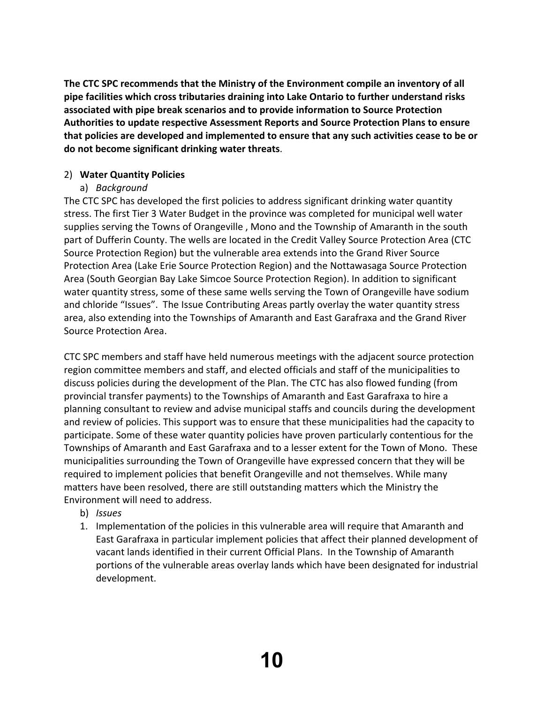**The CTC SPC recommends that the Ministry of the Environment compile an inventory of all pipe facilities which cross tributaries draining into Lake Ontario to further understand risks associated with pipe break scenarios and to provide information to Source Protection Authorities to update respective Assessment Reports and Source Protection Plans to ensure that policies are developed and implemented to ensure that any such activities cease to be or do not become significant drinking water threats**.

## 2) **Water Quantity Policies**

## a) *Background*

The CTC SPC has developed the first policies to address significant drinking water quantity stress. The first Tier 3 Water Budget in the province was completed for municipal well water supplies serving the Towns of Orangeville , Mono and the Township of Amaranth in the south part of Dufferin County. The wells are located in the Credit Valley Source Protection Area (CTC Source Protection Region) but the vulnerable area extends into the Grand River Source Protection Area (Lake Erie Source Protection Region) and the Nottawasaga Source Protection Area (South Georgian Bay Lake Simcoe Source Protection Region). In addition to significant water quantity stress, some of these same wells serving the Town of Orangeville have sodium and chloride "Issues". The Issue Contributing Areas partly overlay the water quantity stress area, also extending into the Townships of Amaranth and East Garafraxa and the Grand River Source Protection Area.

CTC SPC members and staff have held numerous meetings with the adjacent source protection region committee members and staff, and elected officials and staff of the municipalities to discuss policies during the development of the Plan. The CTC has also flowed funding (from provincial transfer payments) to the Townships of Amaranth and East Garafraxa to hire a planning consultant to review and advise municipal staffs and councils during the development and review of policies. This support was to ensure that these municipalities had the capacity to participate. Some of these water quantity policies have proven particularly contentious for the Townships of Amaranth and East Garafraxa and to a lesser extent for the Town of Mono. These municipalities surrounding the Town of Orangeville have expressed concern that they will be required to implement policies that benefit Orangeville and not themselves. While many matters have been resolved, there are still outstanding matters which the Ministry the Environment will need to address.

- b) *Issues*
- 1. Implementation of the policies in this vulnerable area will require that Amaranth and East Garafraxa in particular implement policies that affect their planned development of vacant lands identified in their current Official Plans. In the Township of Amaranth portions of the vulnerable areas overlay lands which have been designated for industrial development.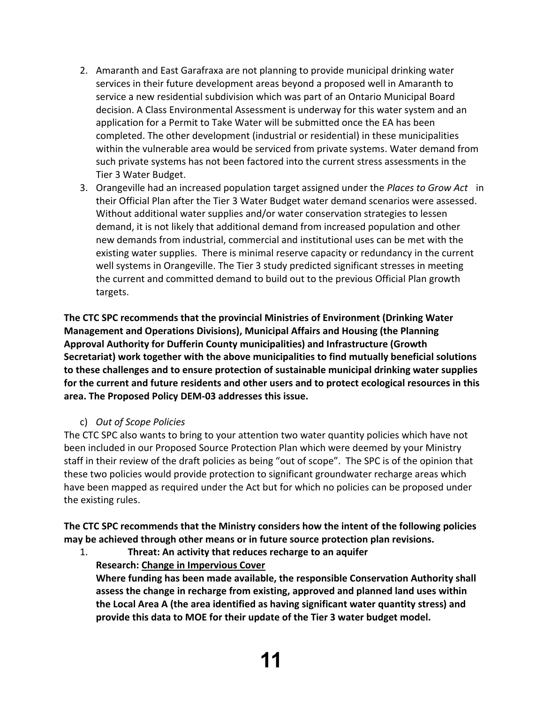- 2. Amaranth and East Garafraxa are not planning to provide municipal drinking water services in their future development areas beyond a proposed well in Amaranth to service a new residential subdivision which was part of an Ontario Municipal Board decision. A Class Environmental Assessment is underway for this water system and an application for a Permit to Take Water will be submitted once the EA has been completed. The other development (industrial or residential) in these municipalities within the vulnerable area would be serviced from private systems. Water demand from such private systems has not been factored into the current stress assessments in the Tier 3 Water Budget.
- 3. Orangeville had an increased population target assigned under the *Places to Grow Act* in their Official Plan after the Tier 3 Water Budget water demand scenarios were assessed. Without additional water supplies and/or water conservation strategies to lessen demand, it is not likely that additional demand from increased population and other new demands from industrial, commercial and institutional uses can be met with the existing water supplies. There is minimal reserve capacity or redundancy in the current well systems in Orangeville. The Tier 3 study predicted significant stresses in meeting the current and committed demand to build out to the previous Official Plan growth targets.

**The CTC SPC recommends that the provincial Ministries of Environment (Drinking Water Management and Operations Divisions), Municipal Affairs and Housing (the Planning Approval Authority for Dufferin County municipalities) and Infrastructure (Growth Secretariat) work together with the above municipalities to find mutually beneficial solutions to these challenges and to ensure protection of sustainable municipal drinking water supplies for the current and future residents and other users and to protect ecological resources in this area. The Proposed Policy DEM‐03 addresses this issue.**

## c) *Out of Scope Policies*

The CTC SPC also wants to bring to your attention two water quantity policies which have not been included in our Proposed Source Protection Plan which were deemed by your Ministry staff in their review of the draft policies as being "out of scope". The SPC is of the opinion that these two policies would provide protection to significant groundwater recharge areas which have been mapped as required under the Act but for which no policies can be proposed under the existing rules.

**The CTC SPC recommends that the Ministry considers how the intent of the following policies may be achieved through other means or in future source protection plan revisions.**

1. **Threat: An activity that reduces recharge to an aquifer Research: Change in Impervious Cover**

**Where funding has been made available, the responsible Conservation Authority shall assess the change in recharge from existing, approved and planned land uses within the Local Area A (the area identified as having significant water quantity stress) and provide this data to MOE for their update of the Tier 3 water budget model.**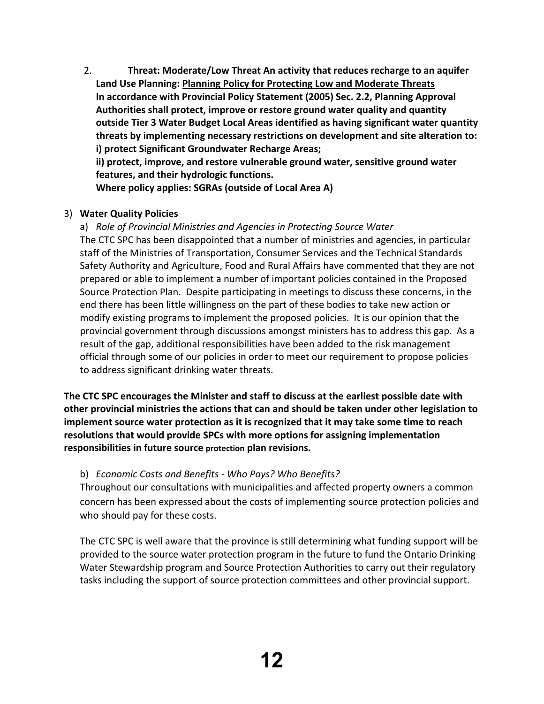2. **Threat: Moderate/Low Threat An activity that reduces recharge to an aquifer Land Use Planning: Planning Policy for Protecting Low and Moderate Threats In accordance with Provincial Policy Statement (2005) Sec. 2.2, Planning Approval Authorities shall protect, improve or restore ground water quality and quantity outside Tier 3 Water Budget Local Areas identified as having significant water quantity threats by implementing necessary restrictions on development and site alteration to: i) protect Significant Groundwater Recharge Areas;**

**ii) protect, improve, and restore vulnerable ground water, sensitive ground water features, and their hydrologic functions.**

**Where policy applies: SGRAs (outside of Local Area A)**

## 3) **Water Quality Policies**

a) *Role of Provincial Ministries and Agencies in Protecting Source Water* The CTC SPC has been disappointed that a number of ministries and agencies, in particular staff of the Ministries of Transportation, Consumer Services and the Technical Standards Safety Authority and Agriculture, Food and Rural Affairs have commented that they are not prepared or able to implement a number of important policies contained in the Proposed Source Protection Plan. Despite participating in meetings to discuss these concerns, in the end there has been little willingness on the part of these bodies to take new action or modify existing programs to implement the proposed policies. It is our opinion that the provincial government through discussions amongst ministers has to address this gap. As a result of the gap, additional responsibilities have been added to the risk management official through some of our policies in order to meet our requirement to propose policies to address significant drinking water threats.

**The CTC SPC encourages the Minister and staff to discuss at the earliest possible date with other provincial ministries the actions that can and should be taken under other legislation to implement source water protection as it is recognized that it may take some time to reach resolutions that would provide SPCs with more options for assigning implementation responsibilities in future source protection plan revisions.**

## b) *Economic Costs and Benefits ‐ Who Pays? Who Benefits?*

Throughout our consultations with municipalities and affected property owners a common concern has been expressed about the costs of implementing source protection policies and who should pay for these costs.

The CTC SPC is well aware that the province is still determining what funding support will be provided to the source water protection program in the future to fund the Ontario Drinking Water Stewardship program and Source Protection Authorities to carry out their regulatory tasks including the support of source protection committees and other provincial support.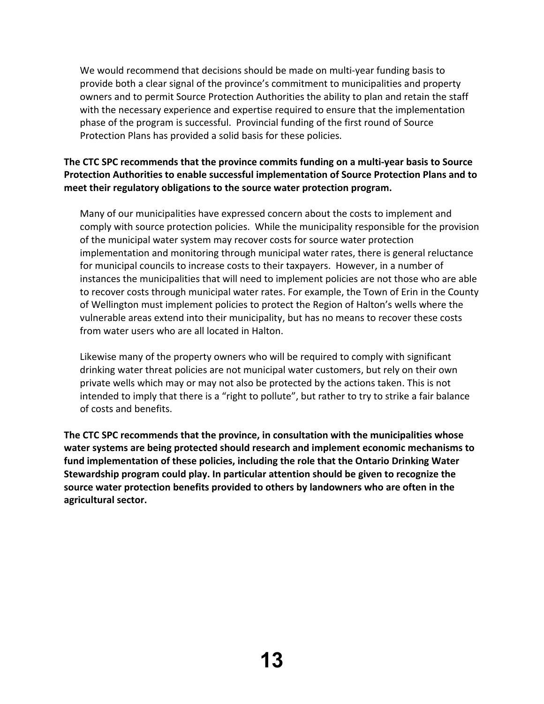We would recommend that decisions should be made on multi-year funding basis to provide both a clear signal of the province's commitment to municipalities and property owners and to permit Source Protection Authorities the ability to plan and retain the staff with the necessary experience and expertise required to ensure that the implementation phase of the program is successful. Provincial funding of the first round of Source Protection Plans has provided a solid basis for these policies.

## **The CTC SPC recommends that the province commits funding on a multi‐year basis to Source Protection Authorities to enable successful implementation of Source Protection Plans and to meet their regulatory obligations to the source water protection program.**

Many of our municipalities have expressed concern about the costs to implement and comply with source protection policies. While the municipality responsible for the provision of the municipal water system may recover costs for source water protection implementation and monitoring through municipal water rates, there is general reluctance for municipal councils to increase costs to their taxpayers. However, in a number of instances the municipalities that will need to implement policies are not those who are able to recover costs through municipal water rates. For example, the Town of Erin in the County of Wellington must implement policies to protect the Region of Halton's wells where the vulnerable areas extend into their municipality, but has no means to recover these costs from water users who are all located in Halton.

Likewise many of the property owners who will be required to comply with significant drinking water threat policies are not municipal water customers, but rely on their own private wells which may or may not also be protected by the actions taken. This is not intended to imply that there is a "right to pollute", but rather to try to strike a fair balance of costs and benefits.

**The CTC SPC recommends that the province, in consultation with the municipalities whose water systems are being protected should research and implement economic mechanisms to fund implementation of these policies, including the role that the Ontario Drinking Water Stewardship program could play. In particular attention should be given to recognize the source water protection benefits provided to others by landowners who are often in the agricultural sector.**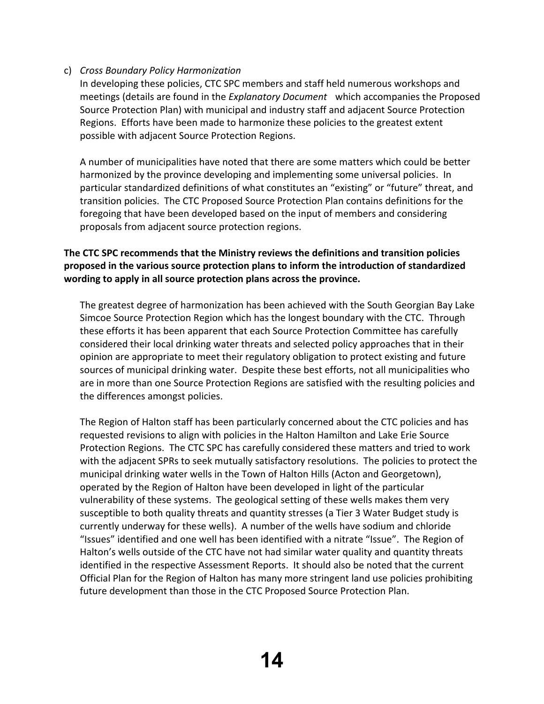## c) *Cross Boundary Policy Harmonization*

In developing these policies, CTC SPC members and staff held numerous workshops and meetings (details are found in the *Explanatory Document* which accompanies the Proposed Source Protection Plan) with municipal and industry staff and adjacent Source Protection Regions. Efforts have been made to harmonize these policies to the greatest extent possible with adjacent Source Protection Regions.

A number of municipalities have noted that there are some matters which could be better harmonized by the province developing and implementing some universal policies. In particular standardized definitions of what constitutes an "existing" or "future" threat, and transition policies. The CTC Proposed Source Protection Plan contains definitions for the foregoing that have been developed based on the input of members and considering proposals from adjacent source protection regions.

## **The CTC SPC recommends that the Ministry reviews the definitions and transition policies proposed in the various source protection plans to inform the introduction of standardized wording to apply in all source protection plans across the province.**

The greatest degree of harmonization has been achieved with the South Georgian Bay Lake Simcoe Source Protection Region which has the longest boundary with the CTC. Through these efforts it has been apparent that each Source Protection Committee has carefully considered their local drinking water threats and selected policy approaches that in their opinion are appropriate to meet their regulatory obligation to protect existing and future sources of municipal drinking water. Despite these best efforts, not all municipalities who are in more than one Source Protection Regions are satisfied with the resulting policies and the differences amongst policies.

The Region of Halton staff has been particularly concerned about the CTC policies and has requested revisions to align with policies in the Halton Hamilton and Lake Erie Source Protection Regions. The CTC SPC has carefully considered these matters and tried to work with the adjacent SPRs to seek mutually satisfactory resolutions. The policies to protect the municipal drinking water wells in the Town of Halton Hills (Acton and Georgetown), operated by the Region of Halton have been developed in light of the particular vulnerability of these systems. The geological setting of these wells makes them very susceptible to both quality threats and quantity stresses (a Tier 3 Water Budget study is currently underway for these wells). A number of the wells have sodium and chloride "Issues" identified and one well has been identified with a nitrate "Issue". The Region of Halton's wells outside of the CTC have not had similar water quality and quantity threats identified in the respective Assessment Reports. It should also be noted that the current Official Plan for the Region of Halton has many more stringent land use policies prohibiting future development than those in the CTC Proposed Source Protection Plan.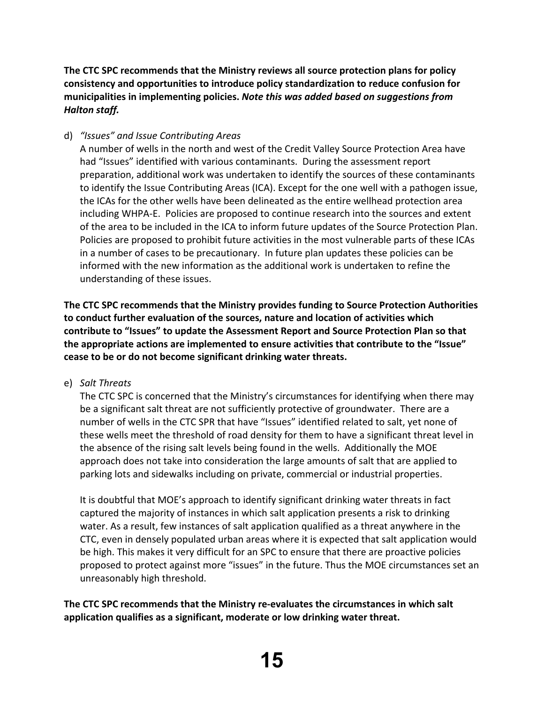**The CTC SPC recommends that the Ministry reviews all source protection plans for policy consistency and opportunities to introduce policy standardization to reduce confusion for municipalities in implementing policies.** *Note this was added based on suggestions from Halton staff.*

## d) *"Issues" and Issue Contributing Areas*

A number of wells in the north and west of the Credit Valley Source Protection Area have had "Issues" identified with various contaminants. During the assessment report preparation, additional work was undertaken to identify the sources of these contaminants to identify the Issue Contributing Areas (ICA). Except for the one well with a pathogen issue, the ICAs for the other wells have been delineated as the entire wellhead protection area including WHPA‐E. Policies are proposed to continue research into the sources and extent of the area to be included in the ICA to inform future updates of the Source Protection Plan. Policies are proposed to prohibit future activities in the most vulnerable parts of these ICAs in a number of cases to be precautionary. In future plan updates these policies can be informed with the new information as the additional work is undertaken to refine the understanding of these issues.

**The CTC SPC recommends that the Ministry provides funding to Source Protection Authorities to conduct further evaluation of the sources, nature and location of activities which contribute to "Issues" to update the Assessment Report and Source Protection Plan so that the appropriate actions are implemented to ensure activities that contribute to the "Issue" cease to be or do not become significant drinking water threats.**

e) *Salt Threats*

The CTC SPC is concerned that the Ministry's circumstances for identifying when there may be a significant salt threat are not sufficiently protective of groundwater. There are a number of wells in the CTC SPR that have "Issues" identified related to salt, yet none of these wells meet the threshold of road density for them to have a significant threat level in the absence of the rising salt levels being found in the wells. Additionally the MOE approach does not take into consideration the large amounts of salt that are applied to parking lots and sidewalks including on private, commercial or industrial properties.

It is doubtful that MOE's approach to identify significant drinking water threats in fact captured the majority of instances in which salt application presents a risk to drinking water. As a result, few instances of salt application qualified as a threat anywhere in the CTC, even in densely populated urban areas where it is expected that salt application would be high. This makes it very difficult for an SPC to ensure that there are proactive policies proposed to protect against more "issues" in the future. Thus the MOE circumstances set an unreasonably high threshold.

**The CTC SPC recommends that the Ministry re‐evaluates the circumstances in which salt application qualifies as a significant, moderate or low drinking water threat.**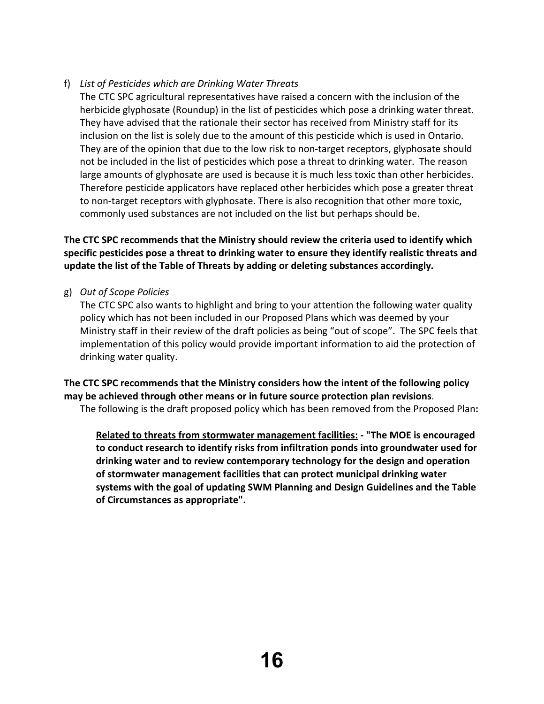## f) *List of Pesticides which are Drinking Water Threats*

The CTC SPC agricultural representatives have raised a concern with the inclusion of the herbicide glyphosate (Roundup) in the list of pesticides which pose a drinking water threat. They have advised that the rationale their sector has received from Ministry staff for its inclusion on the list is solely due to the amount of this pesticide which is used in Ontario. They are of the opinion that due to the low risk to non‐target receptors, glyphosate should not be included in the list of pesticides which pose a threat to drinking water. The reason large amounts of glyphosate are used is because it is much less toxic than other herbicides. Therefore pesticide applicators have replaced other herbicides which pose a greater threat to non-target receptors with glyphosate. There is also recognition that other more toxic, commonly used substances are not included on the list but perhaps should be.

## **The CTC SPC recommends that the Ministry should review the criteria used to identify which specific pesticides pose a threat to drinking water to ensure they identify realistic threats and update the list of the Table of Threats by adding or deleting substances accordingly.**

g) *Out of Scope Policies*

The CTC SPC also wants to highlight and bring to your attention the following water quality policy which has not been included in our Proposed Plans which was deemed by your Ministry staff in their review of the draft policies as being "out of scope". The SPC feels that implementation of this policy would provide important information to aid the protection of drinking water quality.

**The CTC SPC recommends that the Ministry considers how the intent of the following policy may be achieved through other means or in future source protection plan revisions**. The following is the draft proposed policy which has been removed from the Proposed Plan**:**

**Related to threats from stormwater management facilities: ‐ "The MOE is encouraged to conduct research to identify risks from infiltration ponds into groundwater used for drinking water and to review contemporary technology for the design and operation of stormwater management facilities that can protect municipal drinking water systems with the goal of updating SWM Planning and Design Guidelines and the Table of Circumstances as appropriate".**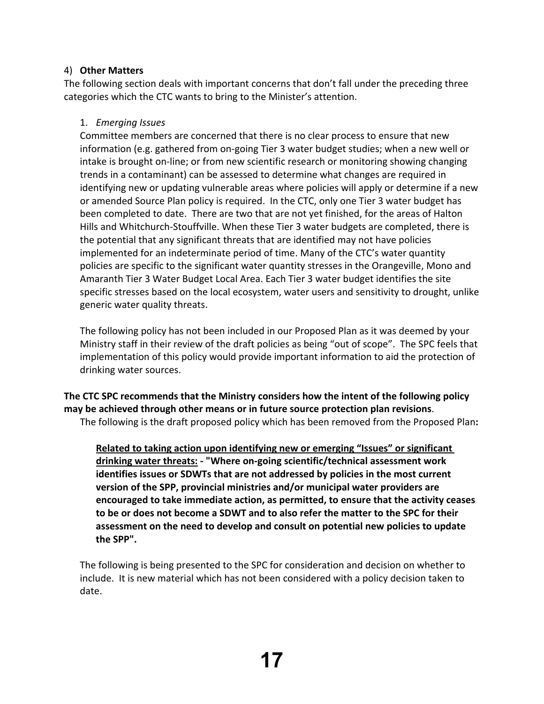## 4) **Other Matters**

The following section deals with important concerns that don't fall under the preceding three categories which the CTC wants to bring to the Minister's attention.

## 1. *Emerging Issues*

Committee members are concerned that there is no clear process to ensure that new information (e.g. gathered from on‐going Tier 3 water budget studies; when a new well or intake is brought on‐line; or from new scientific research or monitoring showing changing trends in a contaminant) can be assessed to determine what changes are required in identifying new or updating vulnerable areas where policies will apply or determine if a new or amended Source Plan policy is required. In the CTC, only one Tier 3 water budget has been completed to date. There are two that are not yet finished, for the areas of Halton Hills and Whitchurch‐Stouffville. When these Tier 3 water budgets are completed, there is the potential that any significant threats that are identified may not have policies implemented for an indeterminate period of time. Many of the CTC's water quantity policies are specific to the significant water quantity stresses in the Orangeville, Mono and Amaranth Tier 3 Water Budget Local Area. Each Tier 3 water budget identifies the site specific stresses based on the local ecosystem, water users and sensitivity to drought, unlike generic water quality threats.

The following policy has not been included in our Proposed Plan as it was deemed by your Ministry staff in their review of the draft policies as being "out of scope". The SPC feels that implementation of this policy would provide important information to aid the protection of drinking water sources.

**The CTC SPC recommends that the Ministry considers how the intent of the following policy may be achieved through other means or in future source protection plan revisions**.

The following is the draft proposed policy which has been removed from the Proposed Plan**:**

**Related to taking action upon identifying new or emerging "Issues" or significant drinking water threats: ‐ "Where on‐going scientific/technical assessment work identifies issues or SDWTs that are not addressed by policies in the most current version of the SPP, provincial ministries and/or municipal water providers are encouraged to take immediate action, as permitted, to ensure that the activity ceases to be or does not become a SDWT and to also refer the matter to the SPC for their assessment on the need to develop and consult on potential new policies to update the SPP".**

The following is being presented to the SPC for consideration and decision on whether to include. It is new material which has not been considered with a policy decision taken to date.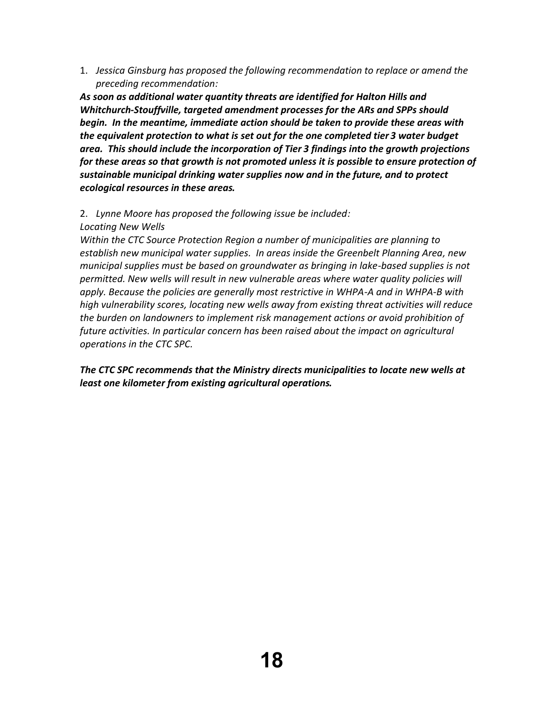1. *Jessica Ginsburg has proposed the following recommendation to replace or amend the preceding recommendation:*

*As soon as additional water quantity threats are identified for Halton Hills and Whitchurch‐Stouffville, targeted amendment processes for the ARs and SPPs should begin. In the meantime, immediate action should be taken to provide these areas with the equivalent protection to what is set out for the one completed tier 3 water budget area. This should include the incorporation of Tier 3 findings into the growth projections for these areas so that growth is not promoted unless it is possible to ensure protection of sustainable municipal drinking water supplies now and in the future, and to protect ecological resources in these areas.*

## 2. *Lynne Moore has proposed the following issue be included: Locating New Wells*

*Within the CTC Source Protection Region a number of municipalities are planning to establish new municipal water supplies. In areas inside the Greenbelt Planning Area, new municipal supplies must be based on groundwater as bringing in lake‐based supplies is not permitted. New wells will result in new vulnerable areas where water quality policies will apply. Because the policies are generally most restrictive in WHPA‐A and in WHPA‐B with high vulnerability scores, locating new wells away from existing threat activities will reduce the burden on landowners to implement risk management actions or avoid prohibition of future activities. In particular concern has been raised about the impact on agricultural operations in the CTC SPC.*

*The CTC SPC recommends that the Ministry directs municipalities to locate new wells at least one kilometer from existing agricultural operations.*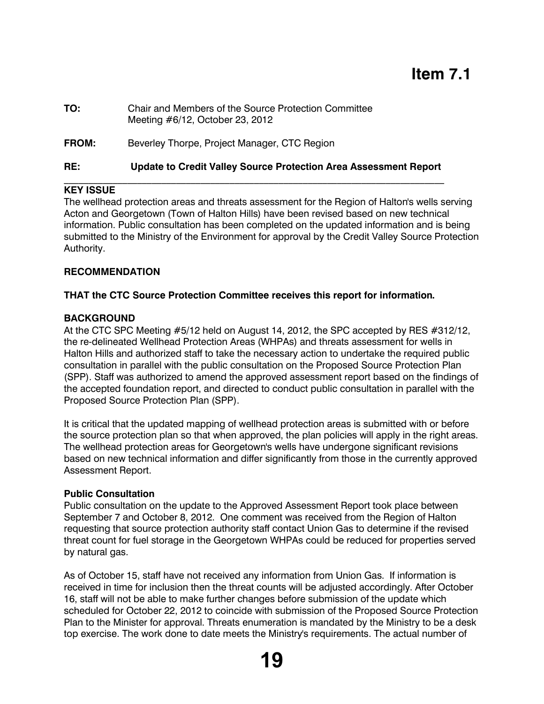# **Item 7.1**

- **TO:** Chair and Members of the Source Protection Committee Meeting #6/12, October 23, 2012
- **FROM:** Beverley Thorpe, Project Manager, CTC Region

#### **RE: Update to Credit Valley Source Protection Area Assessment Report**  $\mathcal{L}_\mathcal{L} = \{ \mathcal{L}_\mathcal{L} = \{ \mathcal{L}_\mathcal{L} = \{ \mathcal{L}_\mathcal{L} = \{ \mathcal{L}_\mathcal{L} = \{ \mathcal{L}_\mathcal{L} = \{ \mathcal{L}_\mathcal{L} = \{ \mathcal{L}_\mathcal{L} = \{ \mathcal{L}_\mathcal{L} = \{ \mathcal{L}_\mathcal{L} = \{ \mathcal{L}_\mathcal{L} = \{ \mathcal{L}_\mathcal{L} = \{ \mathcal{L}_\mathcal{L} = \{ \mathcal{L}_\mathcal{L} = \{ \mathcal{L}_\mathcal{$

## **KEY ISSUE**

The wellhead protection areas and threats assessment for the Region of Halton's wells serving Acton and Georgetown (Town of Halton Hills) have been revised based on new technical information. Public consultation has been completed on the updated information and is being submitted to the Ministry of the Environment for approval by the Credit Valley Source Protection Authority.

#### **RECOMMENDATION**

#### **THAT the CTC Source Protection Committee receives this report for information.**

#### **BACKGROUND**

At the CTC SPC Meeting #5/12 held on August 14, 2012, the SPC accepted by RES #312/12, the re-delineated Wellhead Protection Areas (WHPAs) and threats assessment for wells in Halton Hills and authorized staff to take the necessary action to undertake the required public consultation in parallel with the public consultation on the Proposed Source Protection Plan (SPP). Staff was authorized to amend the approved assessment report based on the findings of the accepted foundation report, and directed to conduct public consultation in parallel with the Proposed Source Protection Plan (SPP).

It is critical that the updated mapping of wellhead protection areas is submitted with or before the source protection plan so that when approved, the plan policies will apply in the right areas. The wellhead protection areas for Georgetown's wells have undergone significant revisions based on new technical information and differ significantly from those in the currently approved Assessment Report.

#### **Public Consultation**

Public consultation on the update to the Approved Assessment Report took place between September 7 and October 8, 2012. One comment was received from the Region of Halton requesting that source protection authority staff contact Union Gas to determine if the revised threat count for fuel storage in the Georgetown WHPAs could be reduced for properties served by natural gas.

As of October 15, staff have not received any information from Union Gas. If information is received in time for inclusion then the threat counts will be adjusted accordingly. After October 16, staff will not be able to make further changes before submission of the update which scheduled for October 22, 2012 to coincide with submission of the Proposed Source Protection Plan to the Minister for approval. Threats enumeration is mandated by the Ministry to be a desk top exercise. The work done to date meets the Ministry's requirements. The actual number of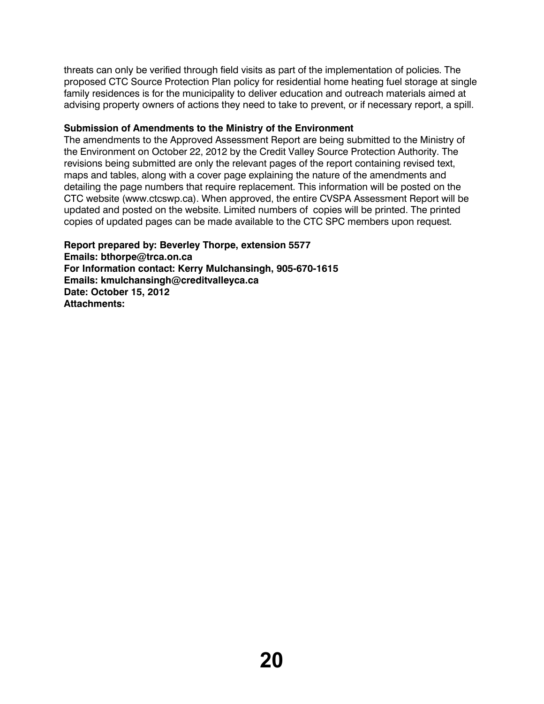threats can only be verified through field visits as part of the implementation of policies. The proposed CTC Source Protection Plan policy for residential home heating fuel storage at single family residences is for the municipality to deliver education and outreach materials aimed at advising property owners of actions they need to take to prevent, or if necessary report, a spill.

## **Submission of Amendments to the Ministry of the Environment**

The amendments to the Approved Assessment Report are being submitted to the Ministry of the Environment on October 22, 2012 by the Credit Valley Source Protection Authority. The revisions being submitted are only the relevant pages of the report containing revised text, maps and tables, along with a cover page explaining the nature of the amendments and detailing the page numbers that require replacement. This information will be posted on the CTC website (www.ctcswp.ca). When approved, the entire CVSPA Assessment Report will be updated and posted on the website. Limited numbers of copies will be printed. The printed copies of updated pages can be made available to the CTC SPC members upon request.

**Report prepared by: Beverley Thorpe, extension 5577 Emails: bthorpe@trca.on.ca For Information contact: Kerry Mulchansingh, 905-670-1615 Emails: kmulchansingh@creditvalleyca.ca Date: October 15, 2012 Attachments:**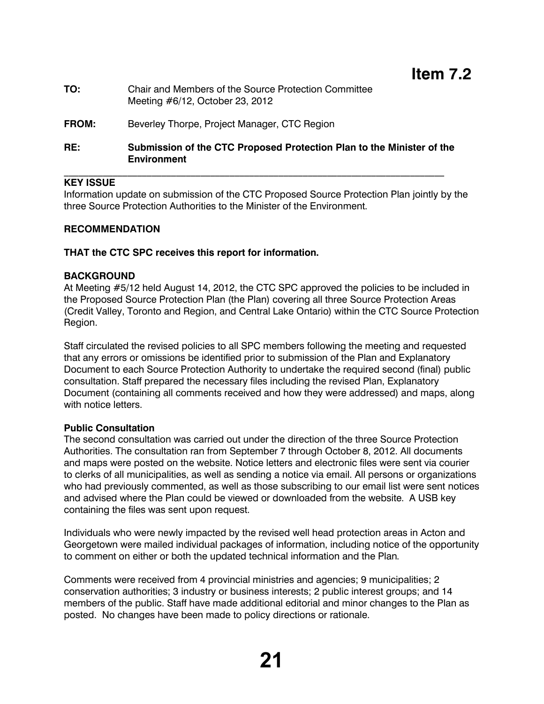**TO:** Chair and Members of the Source Protection Committee Meeting #6/12, October 23, 2012

## **FROM:** Beverley Thorpe, Project Manager, CTC Region

## **RE: Submission of the CTC Proposed Protection Plan to the Minister of the Environment**

## **KEY ISSUE**

Information update on submission of the CTC Proposed Source Protection Plan jointly by the three Source Protection Authorities to the Minister of the Environment.

## **RECOMMENDATION**

## **THAT the CTC SPC receives this report for information.**

## **BACKGROUND**

At Meeting #5/12 held August 14, 2012, the CTC SPC approved the policies to be included in the Proposed Source Protection Plan (the Plan) covering all three Source Protection Areas (Credit Valley, Toronto and Region, and Central Lake Ontario) within the CTC Source Protection Region.

Staff circulated the revised policies to all SPC members following the meeting and requested that any errors or omissions be identified prior to submission of the Plan and Explanatory Document to each Source Protection Authority to undertake the required second (final) public consultation. Staff prepared the necessary files including the revised Plan, Explanatory Document (containing all comments received and how they were addressed) and maps, along with notice letters.

## **Public Consultation**

The second consultation was carried out under the direction of the three Source Protection Authorities. The consultation ran from September 7 through October 8, 2012. All documents and maps were posted on the website. Notice letters and electronic files were sent via courier to clerks of all municipalities, as well as sending a notice via email. All persons or organizations who had previously commented, as well as those subscribing to our email list were sent notices and advised where the Plan could be viewed or downloaded from the website. A USB key containing the files was sent upon request.

Individuals who were newly impacted by the revised well head protection areas in Acton and Georgetown were mailed individual packages of information, including notice of the opportunity to comment on either or both the updated technical information and the Plan.

Comments were received from 4 provincial ministries and agencies; 9 municipalities; 2 conservation authorities; 3 industry or business interests; 2 public interest groups; and 14 members of the public. Staff have made additional editorial and minor changes to the Plan as posted. No changes have been made to policy directions or rationale.